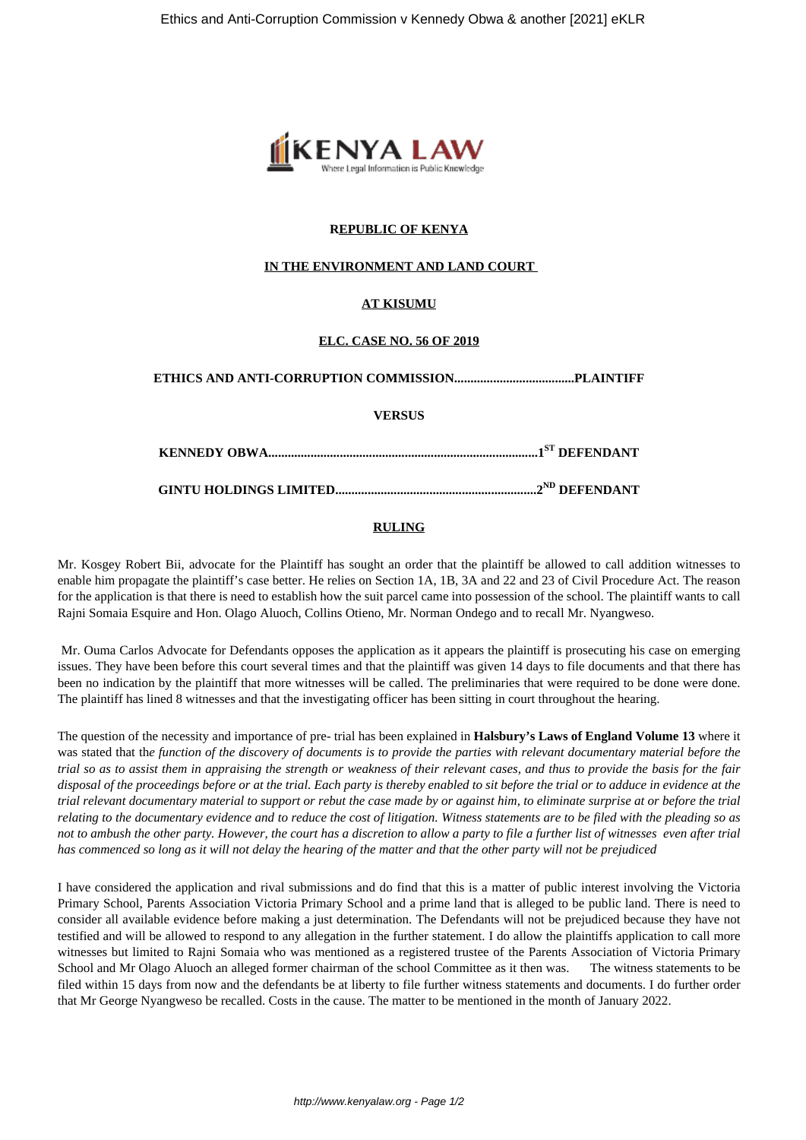

### **REPUBLIC OF KENYA**

#### **IN THE ENVIRONMENT AND LAND COURT**

### **AT KISUMU**

#### **ELC. CASE NO. 56 OF 2019**

### **ETHICS AND ANTI-CORRUPTION COMMISSION.....................................PLAINTIFF**

**VERSUS**

**KENNEDY OBWA...................................................................................1ST DEFENDANT**

**GINTU HOLDINGS LIMITED..............................................................2ND DEFENDANT**

#### **RULING**

Mr. Kosgey Robert Bii, advocate for the Plaintiff has sought an order that the plaintiff be allowed to call addition witnesses to enable him propagate the plaintiff's case better. He relies on Section 1A, 1B, 3A and 22 and 23 of Civil Procedure Act. The reason for the application is that there is need to establish how the suit parcel came into possession of the school. The plaintiff wants to call Rajni Somaia Esquire and Hon. Olago Aluoch, Collins Otieno, Mr. Norman Ondego and to recall Mr. Nyangweso.

Mr. Ouma Carlos Advocate for Defendants opposes the application as it appears the plaintiff is prosecuting his case on emerging issues. They have been before this court several times and that the plaintiff was given 14 days to file documents and that there has been no indication by the plaintiff that more witnesses will be called. The preliminaries that were required to be done were done. The plaintiff has lined 8 witnesses and that the investigating officer has been sitting in court throughout the hearing.

The question of the necessity and importance of pre- trial has been explained in **Halsbury's Laws of England Volume 13** where it was stated that th*e function of the discovery of documents is to provide the parties with relevant documentary material before the trial so as to assist them in appraising the strength or weakness of their relevant cases, and thus to provide the basis for the fair disposal of the proceedings before or at the trial. Each party is thereby enabled to sit before the trial or to adduce in evidence at the trial relevant documentary material to support or rebut the case made by or against him, to eliminate surprise at or before the trial relating to the documentary evidence and to reduce the cost of litigation. Witness statements are to be filed with the pleading so as not to ambush the other party. However, the court has a discretion to allow a party to file a further list of witnesses even after trial has commenced so long as it will not delay the hearing of the matter and that the other party will not be prejudiced*

I have considered the application and rival submissions and do find that this is a matter of public interest involving the Victoria Primary School, Parents Association Victoria Primary School and a prime land that is alleged to be public land. There is need to consider all available evidence before making a just determination. The Defendants will not be prejudiced because they have not testified and will be allowed to respond to any allegation in the further statement. I do allow the plaintiffs application to call more witnesses but limited to Rajni Somaia who was mentioned as a registered trustee of the Parents Association of Victoria Primary School and Mr Olago Aluoch an alleged former chairman of the school Committee as it then was. The witness statements to be filed within 15 days from now and the defendants be at liberty to file further witness statements and documents. I do further order that Mr George Nyangweso be recalled. Costs in the cause. The matter to be mentioned in the month of January 2022.